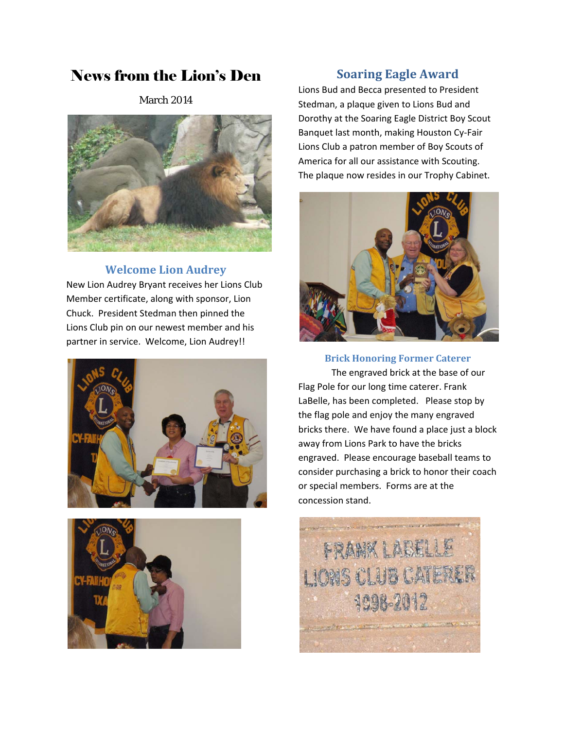# News from the Lion's Den

March 2014



#### **Welcome Lion Audrey**

New Lion Audrey Bryant receives her Lions Club Member certificate, along with sponsor, Lion Chuck. President Stedman then pinned the Lions Club pin on our newest member and his partner in service. Welcome, Lion Audrey!!





## **Soaring Eagle Award**

Lions Bud and Becca presented to President Stedman, a plaque given to Lions Bud and Dorothy at the Soaring Eagle District Boy Scout Banquet last month, making Houston Cy‐Fair Lions Club a patron member of Boy Scouts of America for all our assistance with Scouting. The plaque now resides in our Trophy Cabinet.



**Brick Honoring Former Caterer**

The engraved brick at the base of our Flag Pole for our long time caterer. Frank LaBelle, has been completed. Please stop by the flag pole and enjoy the many engraved bricks there. We have found a place just a block away from Lions Park to have the bricks engraved. Please encourage baseball teams to consider purchasing a brick to honor their coach or special members. Forms are at the concession stand.